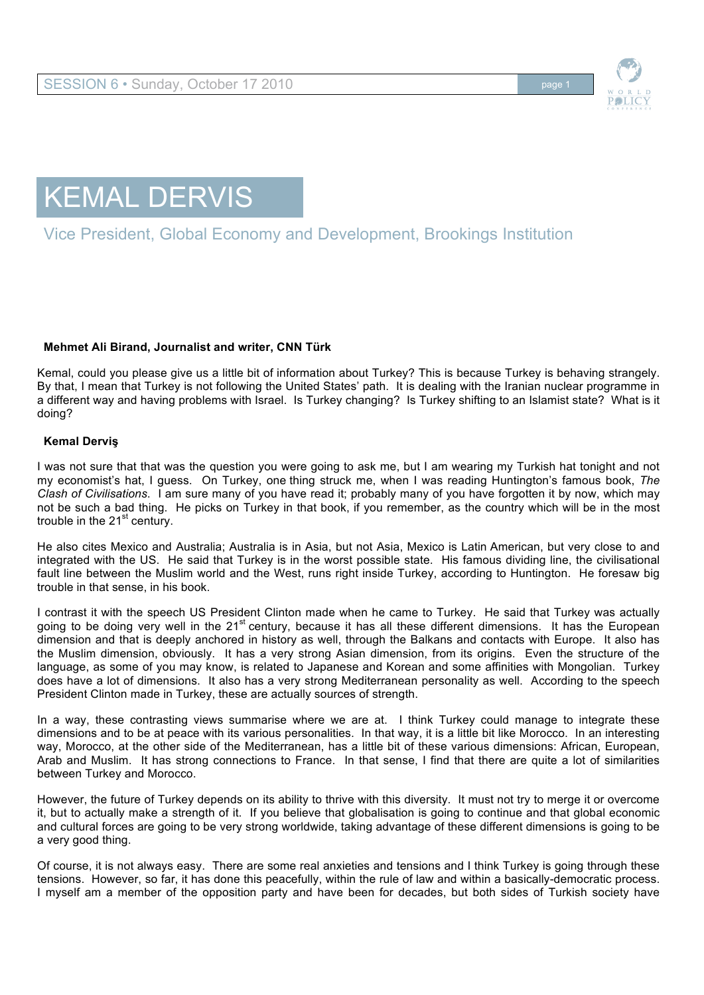



# Vice President, Global Economy and Development, Brookings Institution

## **Mehmet Ali Birand, Journalist and writer, CNN Türk**

Kemal, could you please give us a little bit of information about Turkey? This is because Turkey is behaving strangely. By that, I mean that Turkey is not following the United States' path. It is dealing with the Iranian nuclear programme in a different way and having problems with Israel. Is Turkey changing? Is Turkey shifting to an Islamist state? What is it doing?

#### **Kemal Derviş**

I was not sure that that was the question you were going to ask me, but I am wearing my Turkish hat tonight and not my economist's hat, I guess. On Turkey, one thing struck me, when I was reading Huntington's famous book, *The Clash of Civilisations*. I am sure many of you have read it; probably many of you have forgotten it by now, which may not be such a bad thing. He picks on Turkey in that book, if you remember, as the country which will be in the most trouble in the  $21<sup>st</sup>$  century.

He also cites Mexico and Australia; Australia is in Asia, but not Asia, Mexico is Latin American, but very close to and integrated with the US. He said that Turkey is in the worst possible state. His famous dividing line, the civilisational fault line between the Muslim world and the West, runs right inside Turkey, according to Huntington. He foresaw big trouble in that sense, in his book.

I contrast it with the speech US President Clinton made when he came to Turkey. He said that Turkey was actually going to be doing very well in the 21<sup>st</sup> century, because it has all these different dimensions. It has the European dimension and that is deeply anchored in history as well, through the Balkans and contacts with Europe. It also has the Muslim dimension, obviously. It has a very strong Asian dimension, from its origins. Even the structure of the language, as some of you may know, is related to Japanese and Korean and some affinities with Mongolian. Turkey does have a lot of dimensions. It also has a very strong Mediterranean personality as well. According to the speech President Clinton made in Turkey, these are actually sources of strength.

In a way, these contrasting views summarise where we are at. I think Turkey could manage to integrate these dimensions and to be at peace with its various personalities. In that way, it is a little bit like Morocco. In an interesting way, Morocco, at the other side of the Mediterranean, has a little bit of these various dimensions: African, European, Arab and Muslim. It has strong connections to France. In that sense, I find that there are quite a lot of similarities between Turkey and Morocco.

However, the future of Turkey depends on its ability to thrive with this diversity. It must not try to merge it or overcome it, but to actually make a strength of it. If you believe that globalisation is going to continue and that global economic and cultural forces are going to be very strong worldwide, taking advantage of these different dimensions is going to be a very good thing.

Of course, it is not always easy. There are some real anxieties and tensions and I think Turkey is going through these tensions. However, so far, it has done this peacefully, within the rule of law and within a basically-democratic process. I myself am a member of the opposition party and have been for decades, but both sides of Turkish society have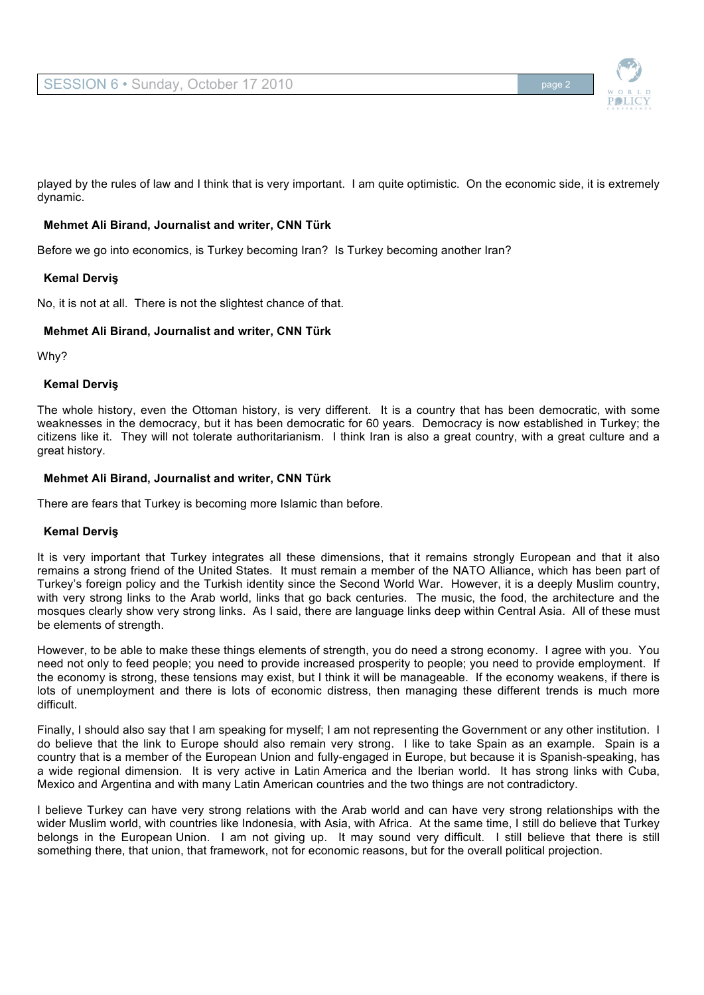

played by the rules of law and I think that is very important. I am quite optimistic. On the economic side, it is extremely dynamic.

## **Mehmet Ali Birand, Journalist and writer, CNN Türk**

Before we go into economics, is Turkey becoming Iran? Is Turkey becoming another Iran?

#### **Kemal Derviş**

No, it is not at all. There is not the slightest chance of that.

## **Mehmet Ali Birand, Journalist and writer, CNN Türk**

Why?

#### **Kemal Derviş**

The whole history, even the Ottoman history, is very different. It is a country that has been democratic, with some weaknesses in the democracy, but it has been democratic for 60 years. Democracy is now established in Turkey; the citizens like it. They will not tolerate authoritarianism. I think Iran is also a great country, with a great culture and a great history.

## **Mehmet Ali Birand, Journalist and writer, CNN Türk**

There are fears that Turkey is becoming more Islamic than before.

## **Kemal Derviş**

It is very important that Turkey integrates all these dimensions, that it remains strongly European and that it also remains a strong friend of the United States. It must remain a member of the NATO Alliance, which has been part of Turkey's foreign policy and the Turkish identity since the Second World War. However, it is a deeply Muslim country, with very strong links to the Arab world, links that go back centuries. The music, the food, the architecture and the mosques clearly show very strong links. As I said, there are language links deep within Central Asia. All of these must be elements of strength.

However, to be able to make these things elements of strength, you do need a strong economy. I agree with you. You need not only to feed people; you need to provide increased prosperity to people; you need to provide employment. If the economy is strong, these tensions may exist, but I think it will be manageable. If the economy weakens, if there is lots of unemployment and there is lots of economic distress, then managing these different trends is much more difficult.

Finally, I should also say that I am speaking for myself; I am not representing the Government or any other institution. I do believe that the link to Europe should also remain very strong. I like to take Spain as an example. Spain is a country that is a member of the European Union and fully-engaged in Europe, but because it is Spanish-speaking, has a wide regional dimension. It is very active in Latin America and the Iberian world. It has strong links with Cuba, Mexico and Argentina and with many Latin American countries and the two things are not contradictory.

I believe Turkey can have very strong relations with the Arab world and can have very strong relationships with the wider Muslim world, with countries like Indonesia, with Asia, with Africa. At the same time, I still do believe that Turkey belongs in the European Union. I am not giving up. It may sound very difficult. I still believe that there is still something there, that union, that framework, not for economic reasons, but for the overall political projection.